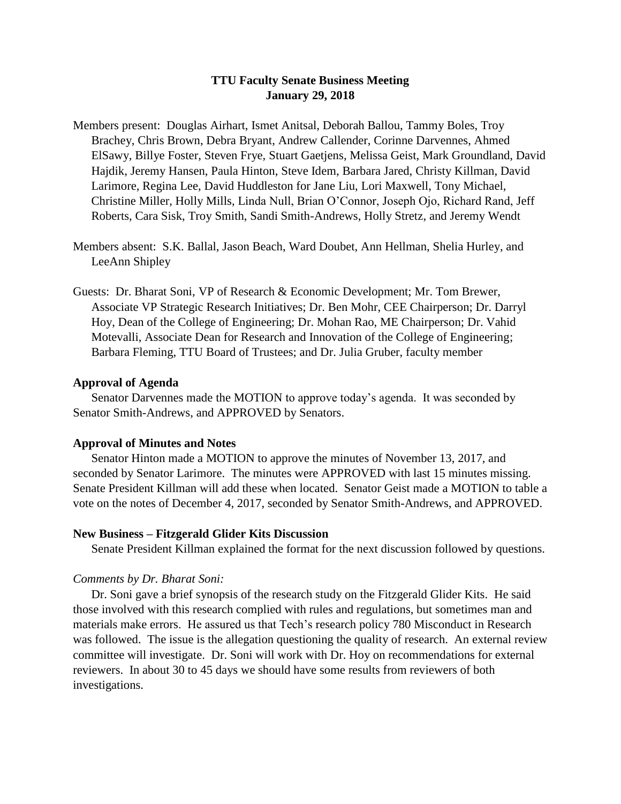# **TTU Faculty Senate Business Meeting January 29, 2018**

- Members present: Douglas Airhart, Ismet Anitsal, Deborah Ballou, Tammy Boles, Troy Brachey, Chris Brown, Debra Bryant, Andrew Callender, Corinne Darvennes, Ahmed ElSawy, Billye Foster, Steven Frye, Stuart Gaetjens, Melissa Geist, Mark Groundland, David Hajdik, Jeremy Hansen, Paula Hinton, Steve Idem, Barbara Jared, Christy Killman, David Larimore, Regina Lee, David Huddleston for Jane Liu, Lori Maxwell, Tony Michael, Christine Miller, Holly Mills, Linda Null, Brian O'Connor, Joseph Ojo, Richard Rand, Jeff Roberts, Cara Sisk, Troy Smith, Sandi Smith-Andrews, Holly Stretz, and Jeremy Wendt
- Members absent: S.K. Ballal, Jason Beach, Ward Doubet, Ann Hellman, Shelia Hurley, and LeeAnn Shipley
- Guests: Dr. Bharat Soni, VP of Research & Economic Development; Mr. Tom Brewer, Associate VP Strategic Research Initiatives; Dr. Ben Mohr, CEE Chairperson; Dr. Darryl Hoy, Dean of the College of Engineering; Dr. Mohan Rao, ME Chairperson; Dr. Vahid Motevalli, Associate Dean for Research and Innovation of the College of Engineering; Barbara Fleming, TTU Board of Trustees; and Dr. Julia Gruber, faculty member

# **Approval of Agenda**

Senator Darvennes made the MOTION to approve today's agenda. It was seconded by Senator Smith-Andrews, and APPROVED by Senators.

# **Approval of Minutes and Notes**

Senator Hinton made a MOTION to approve the minutes of November 13, 2017, and seconded by Senator Larimore. The minutes were APPROVED with last 15 minutes missing. Senate President Killman will add these when located. Senator Geist made a MOTION to table a vote on the notes of December 4, 2017, seconded by Senator Smith-Andrews, and APPROVED.

# **New Business – Fitzgerald Glider Kits Discussion**

Senate President Killman explained the format for the next discussion followed by questions.

#### *Comments by Dr. Bharat Soni:*

Dr. Soni gave a brief synopsis of the research study on the Fitzgerald Glider Kits. He said those involved with this research complied with rules and regulations, but sometimes man and materials make errors. He assured us that Tech's research policy 780 Misconduct in Research was followed. The issue is the allegation questioning the quality of research. An external review committee will investigate. Dr. Soni will work with Dr. Hoy on recommendations for external reviewers. In about 30 to 45 days we should have some results from reviewers of both investigations.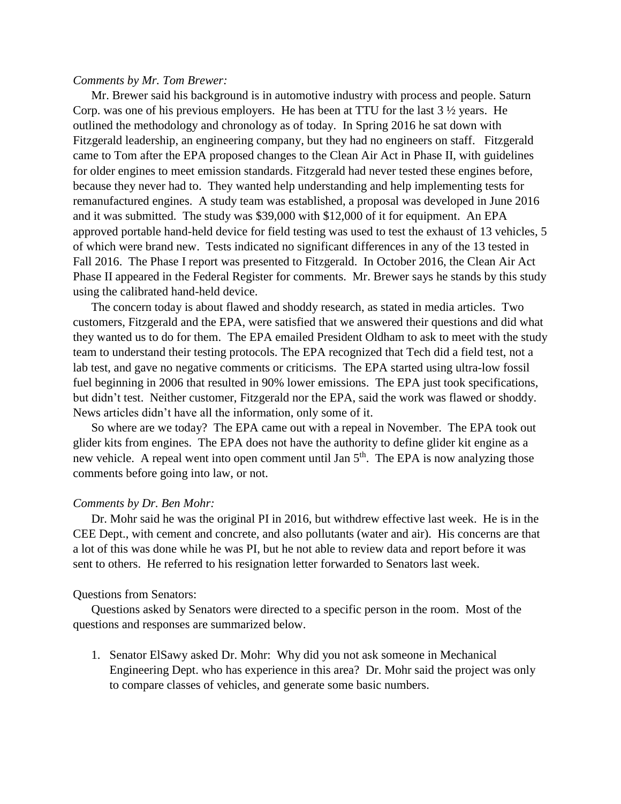### *Comments by Mr. Tom Brewer:*

Mr. Brewer said his background is in automotive industry with process and people. Saturn Corp. was one of his previous employers. He has been at TTU for the last 3 ½ years. He outlined the methodology and chronology as of today. In Spring 2016 he sat down with Fitzgerald leadership, an engineering company, but they had no engineers on staff. Fitzgerald came to Tom after the EPA proposed changes to the Clean Air Act in Phase II, with guidelines for older engines to meet emission standards. Fitzgerald had never tested these engines before, because they never had to. They wanted help understanding and help implementing tests for remanufactured engines. A study team was established, a proposal was developed in June 2016 and it was submitted. The study was \$39,000 with \$12,000 of it for equipment. An EPA approved portable hand-held device for field testing was used to test the exhaust of 13 vehicles, 5 of which were brand new. Tests indicated no significant differences in any of the 13 tested in Fall 2016. The Phase I report was presented to Fitzgerald. In October 2016, the Clean Air Act Phase II appeared in the Federal Register for comments. Mr. Brewer says he stands by this study using the calibrated hand-held device.

The concern today is about flawed and shoddy research, as stated in media articles. Two customers, Fitzgerald and the EPA, were satisfied that we answered their questions and did what they wanted us to do for them. The EPA emailed President Oldham to ask to meet with the study team to understand their testing protocols. The EPA recognized that Tech did a field test, not a lab test, and gave no negative comments or criticisms. The EPA started using ultra-low fossil fuel beginning in 2006 that resulted in 90% lower emissions. The EPA just took specifications, but didn't test. Neither customer, Fitzgerald nor the EPA, said the work was flawed or shoddy. News articles didn't have all the information, only some of it.

So where are we today? The EPA came out with a repeal in November. The EPA took out glider kits from engines. The EPA does not have the authority to define glider kit engine as a new vehicle. A repeal went into open comment until Jan 5<sup>th</sup>. The EPA is now analyzing those comments before going into law, or not.

### *Comments by Dr. Ben Mohr:*

Dr. Mohr said he was the original PI in 2016, but withdrew effective last week. He is in the CEE Dept., with cement and concrete, and also pollutants (water and air). His concerns are that a lot of this was done while he was PI, but he not able to review data and report before it was sent to others. He referred to his resignation letter forwarded to Senators last week.

### Questions from Senators:

Questions asked by Senators were directed to a specific person in the room. Most of the questions and responses are summarized below.

1. Senator ElSawy asked Dr. Mohr: Why did you not ask someone in Mechanical Engineering Dept. who has experience in this area? Dr. Mohr said the project was only to compare classes of vehicles, and generate some basic numbers.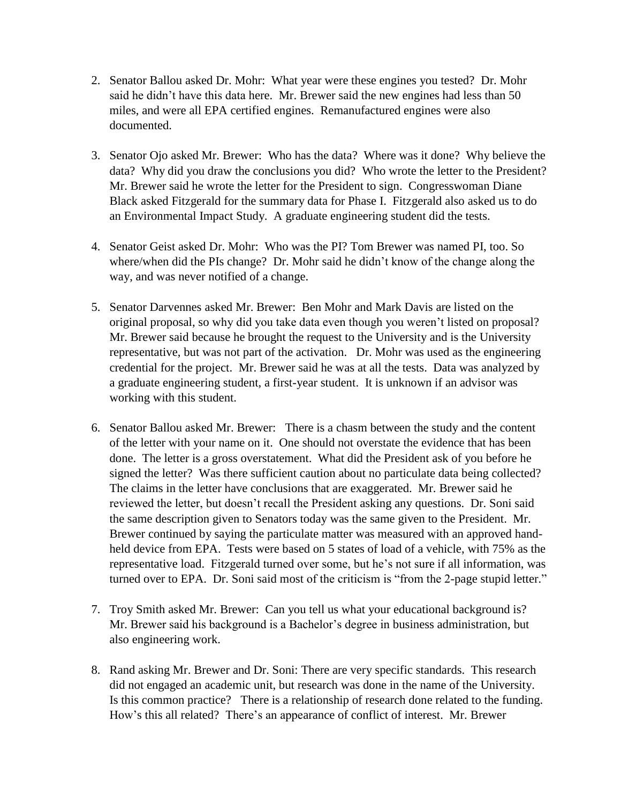- 2. Senator Ballou asked Dr. Mohr: What year were these engines you tested? Dr. Mohr said he didn't have this data here. Mr. Brewer said the new engines had less than 50 miles, and were all EPA certified engines. Remanufactured engines were also documented.
- 3. Senator Ojo asked Mr. Brewer: Who has the data? Where was it done? Why believe the data? Why did you draw the conclusions you did? Who wrote the letter to the President? Mr. Brewer said he wrote the letter for the President to sign. Congresswoman Diane Black asked Fitzgerald for the summary data for Phase I. Fitzgerald also asked us to do an Environmental Impact Study. A graduate engineering student did the tests.
- 4. Senator Geist asked Dr. Mohr: Who was the PI? Tom Brewer was named PI, too. So where/when did the PIs change? Dr. Mohr said he didn't know of the change along the way, and was never notified of a change.
- 5. Senator Darvennes asked Mr. Brewer: Ben Mohr and Mark Davis are listed on the original proposal, so why did you take data even though you weren't listed on proposal? Mr. Brewer said because he brought the request to the University and is the University representative, but was not part of the activation. Dr. Mohr was used as the engineering credential for the project. Mr. Brewer said he was at all the tests. Data was analyzed by a graduate engineering student, a first-year student. It is unknown if an advisor was working with this student.
- 6. Senator Ballou asked Mr. Brewer: There is a chasm between the study and the content of the letter with your name on it. One should not overstate the evidence that has been done. The letter is a gross overstatement. What did the President ask of you before he signed the letter? Was there sufficient caution about no particulate data being collected? The claims in the letter have conclusions that are exaggerated. Mr. Brewer said he reviewed the letter, but doesn't recall the President asking any questions. Dr. Soni said the same description given to Senators today was the same given to the President. Mr. Brewer continued by saying the particulate matter was measured with an approved handheld device from EPA. Tests were based on 5 states of load of a vehicle, with 75% as the representative load. Fitzgerald turned over some, but he's not sure if all information, was turned over to EPA. Dr. Soni said most of the criticism is "from the 2-page stupid letter."
- 7. Troy Smith asked Mr. Brewer: Can you tell us what your educational background is? Mr. Brewer said his background is a Bachelor's degree in business administration, but also engineering work.
- 8. Rand asking Mr. Brewer and Dr. Soni: There are very specific standards. This research did not engaged an academic unit, but research was done in the name of the University. Is this common practice? There is a relationship of research done related to the funding. How's this all related? There's an appearance of conflict of interest. Mr. Brewer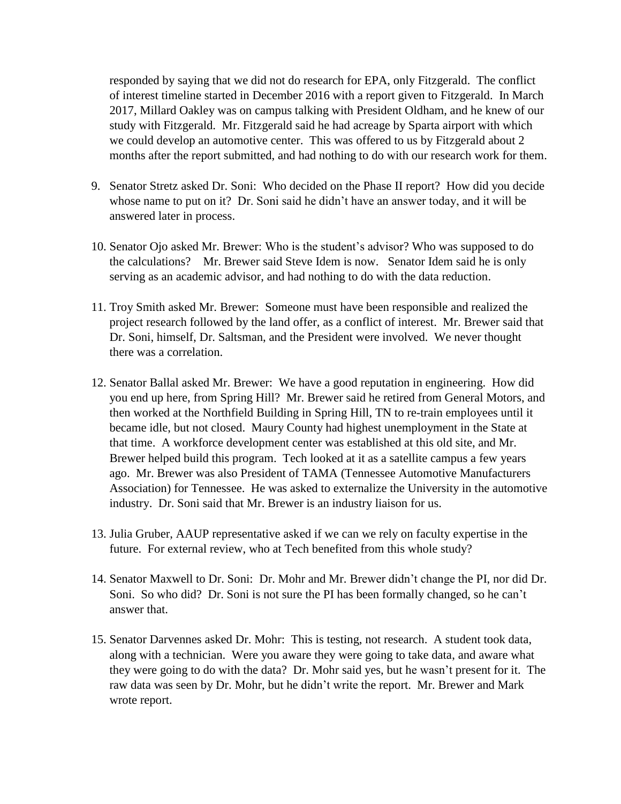responded by saying that we did not do research for EPA, only Fitzgerald. The conflict of interest timeline started in December 2016 with a report given to Fitzgerald. In March 2017, Millard Oakley was on campus talking with President Oldham, and he knew of our study with Fitzgerald. Mr. Fitzgerald said he had acreage by Sparta airport with which we could develop an automotive center. This was offered to us by Fitzgerald about 2 months after the report submitted, and had nothing to do with our research work for them.

- 9. Senator Stretz asked Dr. Soni: Who decided on the Phase II report? How did you decide whose name to put on it? Dr. Soni said he didn't have an answer today, and it will be answered later in process.
- 10. Senator Ojo asked Mr. Brewer: Who is the student's advisor? Who was supposed to do the calculations? Mr. Brewer said Steve Idem is now. Senator Idem said he is only serving as an academic advisor, and had nothing to do with the data reduction.
- 11. Troy Smith asked Mr. Brewer: Someone must have been responsible and realized the project research followed by the land offer, as a conflict of interest. Mr. Brewer said that Dr. Soni, himself, Dr. Saltsman, and the President were involved. We never thought there was a correlation.
- 12. Senator Ballal asked Mr. Brewer: We have a good reputation in engineering. How did you end up here, from Spring Hill? Mr. Brewer said he retired from General Motors, and then worked at the Northfield Building in Spring Hill, TN to re-train employees until it became idle, but not closed. Maury County had highest unemployment in the State at that time. A workforce development center was established at this old site, and Mr. Brewer helped build this program. Tech looked at it as a satellite campus a few years ago. Mr. Brewer was also President of TAMA (Tennessee Automotive Manufacturers Association) for Tennessee. He was asked to externalize the University in the automotive industry. Dr. Soni said that Mr. Brewer is an industry liaison for us.
- 13. Julia Gruber, AAUP representative asked if we can we rely on faculty expertise in the future. For external review, who at Tech benefited from this whole study?
- 14. Senator Maxwell to Dr. Soni: Dr. Mohr and Mr. Brewer didn't change the PI, nor did Dr. Soni. So who did? Dr. Soni is not sure the PI has been formally changed, so he can't answer that.
- 15. Senator Darvennes asked Dr. Mohr: This is testing, not research. A student took data, along with a technician. Were you aware they were going to take data, and aware what they were going to do with the data? Dr. Mohr said yes, but he wasn't present for it. The raw data was seen by Dr. Mohr, but he didn't write the report. Mr. Brewer and Mark wrote report.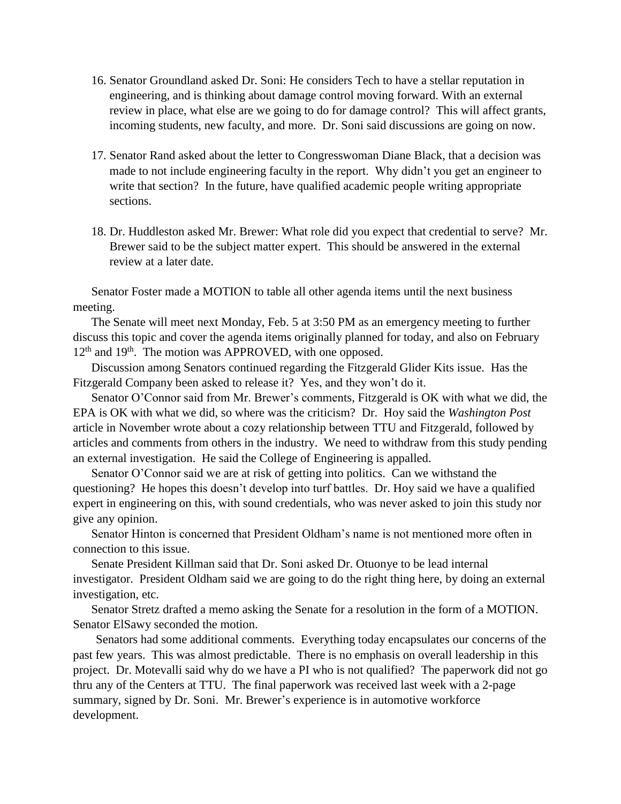- 16. Senator Groundland asked Dr. Soni: He considers Tech to have a stellar reputation in engineering, and is thinking about damage control moving forward. With an external review in place, what else are we going to do for damage control? This will affect grants, incoming students, new faculty, and more. Dr. Soni said discussions are going on now.
- 17. Senator Rand asked about the letter to Congresswoman Diane Black, that a decision was made to not include engineering faculty in the report. Why didn't you get an engineer to write that section? In the future, have qualified academic people writing appropriate sections.
- 18. Dr. Huddleston asked Mr. Brewer: What role did you expect that credential to serve? Mr. Brewer said to be the subject matter expert. This should be answered in the external review at a later date.

Senator Foster made a MOTION to table all other agenda items until the next business meeting.

The Senate will meet next Monday, Feb. 5 at 3:50 PM as an emergency meeting to further discuss this topic and cover the agenda items originally planned for today, and also on February 12<sup>th</sup> and 19<sup>th</sup>. The motion was APPROVED, with one opposed.

Discussion among Senators continued regarding the Fitzgerald Glider Kits issue. Has the Fitzgerald Company been asked to release it? Yes, and they won't do it.

Senator O'Connor said from Mr. Brewer's comments, Fitzgerald is OK with what we did, the EPA is OK with what we did, so where was the criticism? Dr. Hoy said the *Washington Post* article in November wrote about a cozy relationship between TTU and Fitzgerald, followed by articles and comments from others in the industry. We need to withdraw from this study pending an external investigation. He said the College of Engineering is appalled.

Senator O'Connor said we are at risk of getting into politics. Can we withstand the questioning? He hopes this doesn't develop into turf battles. Dr. Hoy said we have a qualified expert in engineering on this, with sound credentials, who was never asked to join this study nor give any opinion.

Senator Hinton is concerned that President Oldham's name is not mentioned more often in connection to this issue.

Senate President Killman said that Dr. Soni asked Dr. Otuonye to be lead internal investigator. President Oldham said we are going to do the right thing here, by doing an external investigation, etc.

Senator Stretz drafted a memo asking the Senate for a resolution in the form of a MOTION. Senator ElSawy seconded the motion.

Senators had some additional comments. Everything today encapsulates our concerns of the past few years. This was almost predictable. There is no emphasis on overall leadership in this project. Dr. Motevalli said why do we have a PI who is not qualified? The paperwork did not go thru any of the Centers at TTU. The final paperwork was received last week with a 2-page summary, signed by Dr. Soni. Mr. Brewer's experience is in automotive workforce development.